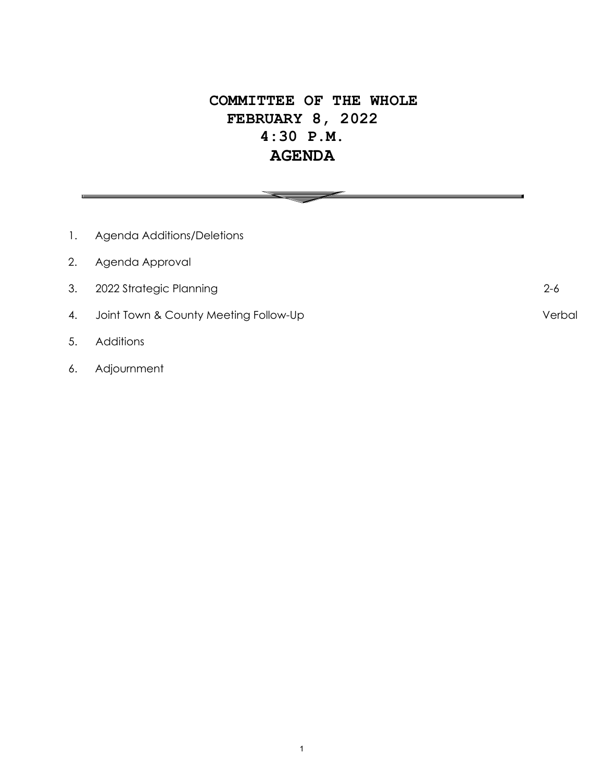# **COMMITTEE OF THE WHOLE FEBRUARY 8, 2022 4:30 P.M. AGENDA**

 $\overline{\phantom{0}}$ 

| 1. | Agenda Additions/Deletions            |         |
|----|---------------------------------------|---------|
| 2. | Agenda Approval                       |         |
| 3. | 2022 Strategic Planning               | $2 - 6$ |
| 4. | Joint Town & County Meeting Follow-Up | Verbal  |
| 5. | <b>Additions</b>                      |         |

6. Adjournment

1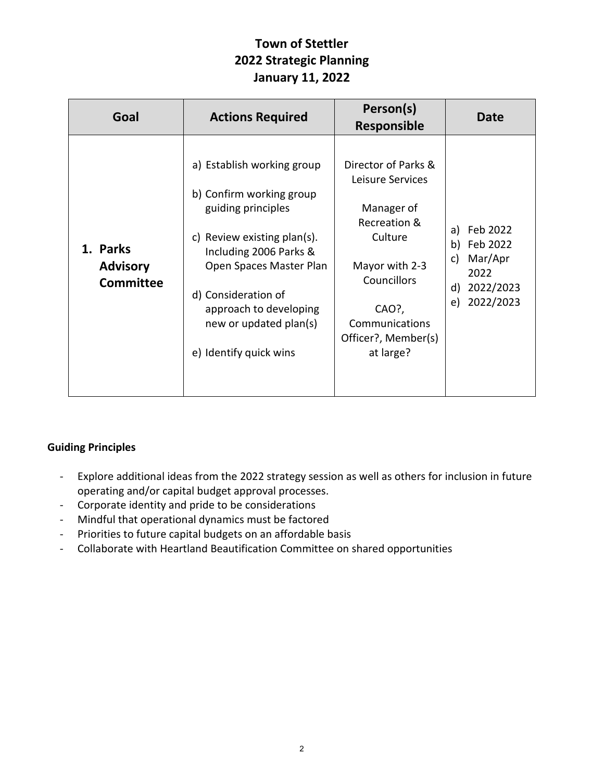## **Town of Stettler 2022 Strategic Planning January 11, 2022**

| Goal                                            | <b>Actions Required</b>                                                                                                                                                                                                                                                  | Person(s)<br><b>Responsible</b>                                                                                                                                                  | Date                                                                                            |
|-------------------------------------------------|--------------------------------------------------------------------------------------------------------------------------------------------------------------------------------------------------------------------------------------------------------------------------|----------------------------------------------------------------------------------------------------------------------------------------------------------------------------------|-------------------------------------------------------------------------------------------------|
| 1. Parks<br><b>Advisory</b><br><b>Committee</b> | a) Establish working group<br>b) Confirm working group<br>guiding principles<br>Review existing plan(s).<br>C)<br>Including 2006 Parks &<br>Open Spaces Master Plan<br>d) Consideration of<br>approach to developing<br>new or updated plan(s)<br>e) Identify quick wins | Director of Parks &<br>Leisure Services<br>Manager of<br>Recreation &<br>Culture<br>Mayor with 2-3<br>Councillors<br>CAO?,<br>Communications<br>Officer?, Member(s)<br>at large? | Feb 2022<br>a)<br>Feb 2022<br>b)<br>Mar/Apr<br>C)<br>2022<br>2022/2023<br>d)<br>2022/2023<br>e) |

### **Guiding Principles**

- Explore additional ideas from the 2022 strategy session as well as others for inclusion in future operating and/or capital budget approval processes.
- Corporate identity and pride to be considerations
- Mindful that operational dynamics must be factored
- Priorities to future capital budgets on an affordable basis
- Collaborate with Heartland Beautification Committee on shared opportunities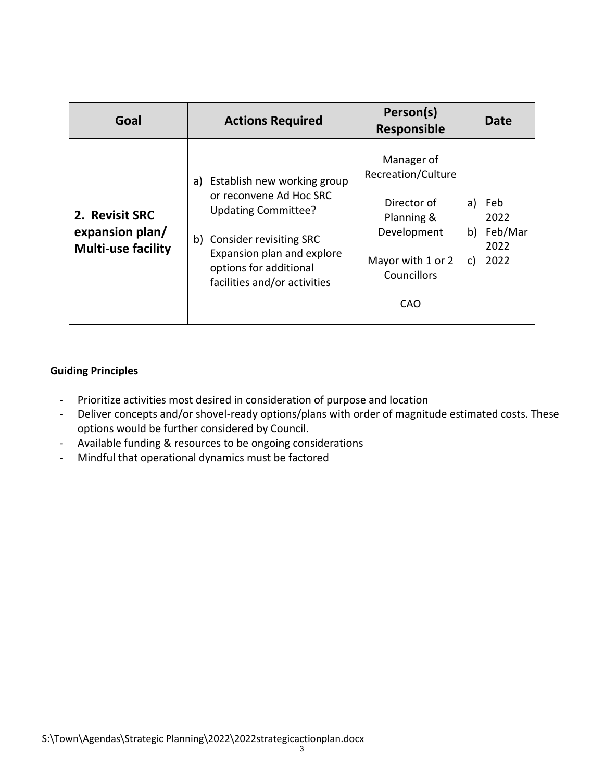| Goal                                                           | <b>Actions Required</b>                                                                                                                                                                                   | Person(s)<br><b>Responsible</b>                                                                                         | Date                                                     |
|----------------------------------------------------------------|-----------------------------------------------------------------------------------------------------------------------------------------------------------------------------------------------------------|-------------------------------------------------------------------------------------------------------------------------|----------------------------------------------------------|
| 2. Revisit SRC<br>expansion plan/<br><b>Multi-use facility</b> | Establish new working group<br>a)<br>or reconvene Ad Hoc SRC<br>Updating Committee?<br>b) Consider revisiting SRC<br>Expansion plan and explore<br>options for additional<br>facilities and/or activities | Manager of<br>Recreation/Culture<br>Director of<br>Planning &<br>Development<br>Mayor with 1 or 2<br>Councillors<br>CAO | Feb<br>a)<br>2022<br>Feb/Mar<br>b)<br>2022<br>2022<br>C) |

#### **Guiding Principles**

- Prioritize activities most desired in consideration of purpose and location
- Deliver concepts and/or shovel-ready options/plans with order of magnitude estimated costs. These options would be further considered by Council.
- Available funding & resources to be ongoing considerations
- Mindful that operational dynamics must be factored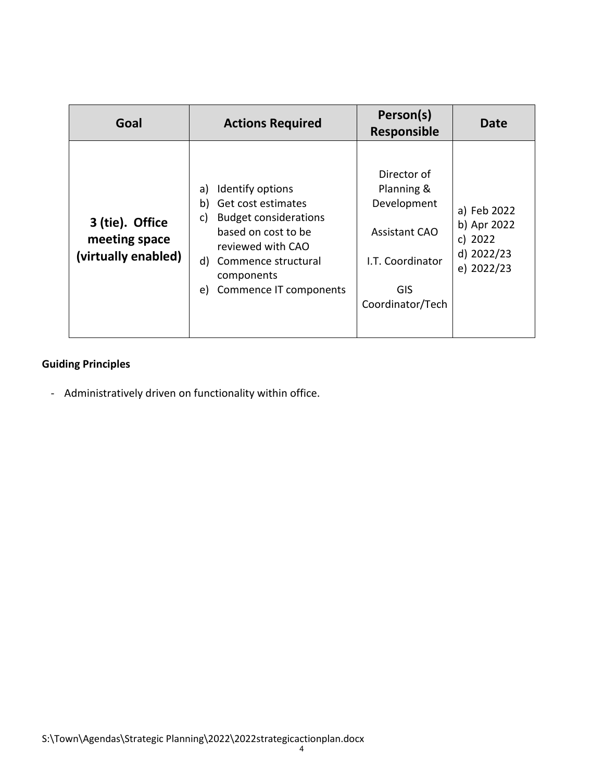| Goal                                                    | <b>Actions Required</b>                                                                                                                                                                                      | Person(s)<br><b>Responsible</b>                                                                                 | Date                                                              |
|---------------------------------------------------------|--------------------------------------------------------------------------------------------------------------------------------------------------------------------------------------------------------------|-----------------------------------------------------------------------------------------------------------------|-------------------------------------------------------------------|
| 3 (tie). Office<br>meeting space<br>(virtually enabled) | Identify options<br>a)<br>Get cost estimates<br>b)<br><b>Budget considerations</b><br>C)<br>based on cost to be<br>reviewed with CAO<br>d) Commence structural<br>components<br>Commence IT components<br>e) | Director of<br>Planning &<br>Development<br><b>Assistant CAO</b><br>I.T. Coordinator<br>GIS<br>Coordinator/Tech | a) Feb 2022<br>b) Apr 2022<br>c) 2022<br>d) 2022/23<br>e) 2022/23 |

## **Guiding Principles**

- Administratively driven on functionality within office.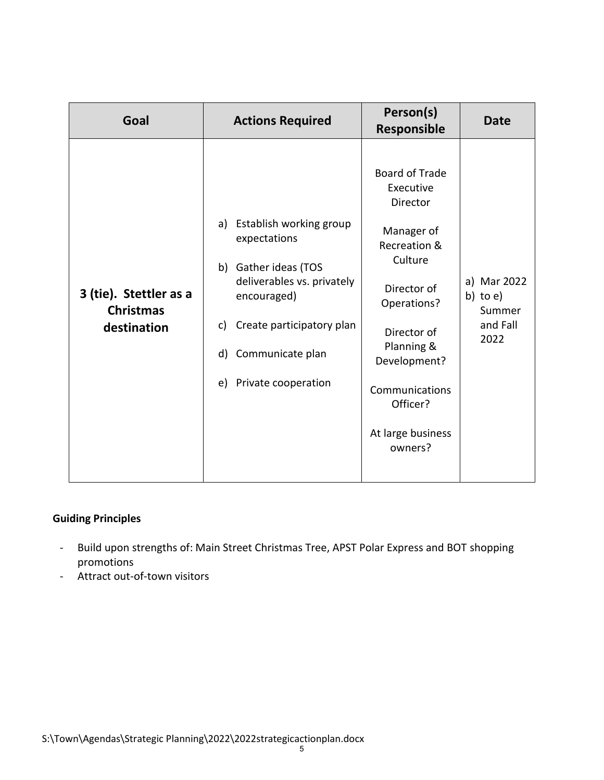| Goal                                                      | <b>Actions Required</b>                                                                                                                                                                                      | Person(s)<br><b>Responsible</b>                                                                                                                                                                                                  | <b>Date</b>                                              |
|-----------------------------------------------------------|--------------------------------------------------------------------------------------------------------------------------------------------------------------------------------------------------------------|----------------------------------------------------------------------------------------------------------------------------------------------------------------------------------------------------------------------------------|----------------------------------------------------------|
| 3 (tie). Stettler as a<br><b>Christmas</b><br>destination | Establish working group<br>a)<br>expectations<br>b) Gather ideas (TOS<br>deliverables vs. privately<br>encouraged)<br>Create participatory plan<br>C)<br>Communicate plan<br>d)<br>Private cooperation<br>e) | <b>Board of Trade</b><br>Executive<br>Director<br>Manager of<br>Recreation &<br>Culture<br>Director of<br>Operations?<br>Director of<br>Planning &<br>Development?<br>Communications<br>Officer?<br>At large business<br>owners? | a) Mar 2022<br>b) to $e$ )<br>Summer<br>and Fall<br>2022 |

#### **Guiding Principles**

- Build upon strengths of: Main Street Christmas Tree, APST Polar Express and BOT shopping promotions
- Attract out-of-town visitors